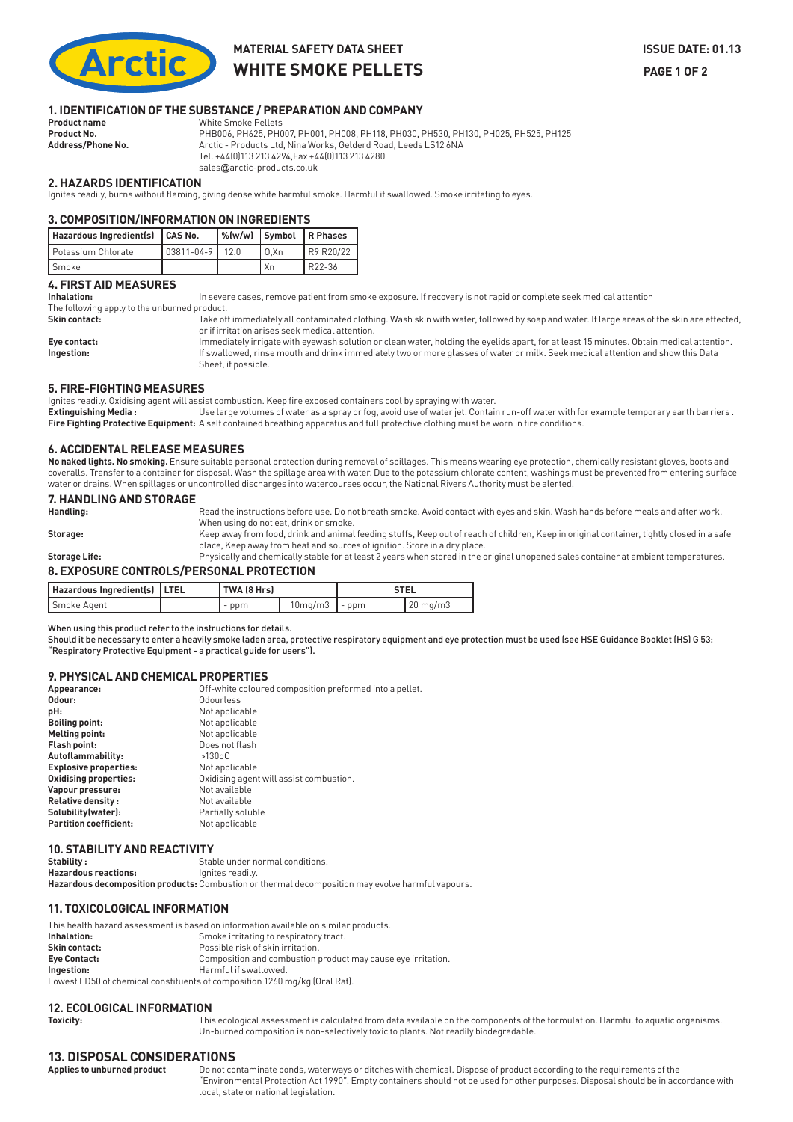

### **MATERIAL SAFETY DATA SHEET SEE ALSO ASSUE DATE: 01.13 WHITE SMOKE PELLETS** PAGE 1 OF 2

# **1. IDENTIFICATION OF THE SUBSTANCE / PREPARATION AND COMPANY**

**White Smoke Pellets Product No.** PHB006, PH625, PH007, PH001, PH008, PH118, PH030, PH530, PH130, PH025, PH525, PH125 Address/Phone No. **Anctic - Products Ltd, Nina Works, Gelderd Road, Leeds LS12 6NA** Tel. +44(0)113 213 4294,Fax +44(0)113 213 4280 sales@arctic-products.co.uk

#### **2. HAZARDS IDENTIFICATION**

Ignites readily, burns without flaming, giving dense white harmful smoke. Harmful if swallowed. Smoke irritating to eyes.

#### **3. COMPOSITION/INFORMATION ON INGREDIENTS**

| Hazardous Ingredient(s)   CAS No. |                   |     |      | $\sqrt{\omega(w/w)}$ Symbol R Phases |
|-----------------------------------|-------------------|-----|------|--------------------------------------|
| Potassium Chlorate                | $103811 - 04 - 9$ | 120 | 0.Xn | R9 R20/22                            |
| Smoke                             |                   |     | ' Xn | $R22-36$                             |

#### **4. FIRST AID MEASURES**

Inhalation: In severe cases, remove patient from smoke exposure. If recovery is not rapid or complete seek medical attention The following apply to the unburned product.

**Skin contact:** Take off immediately all contaminated clothing. Wash skin with water, followed by soap and water. If large areas of the skin are effected, or if irritation arises seek medical attention.

**Eye contact:** Immediately irrigate with eyewash solution or clean water, holding the eyelids apart, for at least 15 minutes. Obtain medical attention. **Ingestion:** If swallowed, rinse mouth and drink immediately two or more glasses of water or milk. Seek medical attention and show this Data Sheet, if possible.

#### **5. FIRE-FIGHTING MEASURES**

Ignites readily. Oxidising agent will assist combustion. Keep fire exposed containers cool by spraying with water.

Extinguishing Media : Use large volumes of water as a spray or fog, avoid use of water jet. Contain run-off water with for example temporary earth barriers . **Fire Fighting Protective Equipment:** A self contained breathing apparatus and full protective clothing must be worn in fire conditions.

#### **6. ACCIDENTAL RELEASE MEASURES**

**No naked lights. No smoking.** Ensure suitable personal protection during removal of spillages. This means wearing eye protection, chemically resistant gloves, boots and coveralls. Transfer to a container for disposal. Wash the spillage area with water. Due to the potassium chlorate content, washings must be prevented from entering surface water or drains. When spillages or uncontrolled discharges into watercourses occur, the National Rivers Authority must be alerted.

# **7. HANDLING AND STORAGE**

**Handling:** Read the instructions before use. Do not breath smoke. Avoid contact with eyes and skin. Wash hands before meals and after work. When using do not eat, drink or smoke. Storage: Keep away from food, drink and animal feeding stuffs, Keep out of reach of children, Keep in original container, tightly closed in a safe

place, Keep away from heat and sources of ignition. Store in a dry place. **Storage Life:** Physically and chemically stable for at least 2 years when stored in the original unopened sales container at ambient temperatures.

### **8**. **EXPOSURE CONTROLS/PERSONAL PROTECTION**

| Hazardous Ingredient(s)   LTEL | ' TWA (8 Hrs) |                       | <b>STEL</b> |                   |
|--------------------------------|---------------|-----------------------|-------------|-------------------|
| Smoke Agent                    | $-$ ppm       | $10$ mg/m $3$   - ppm |             | $20 \text{ mg/m}$ |

#### When using this product refer to the instructions for details.

Should it be necessary to enter a heavily smoke laden area, protective respiratory equipment and eye protection must be used (see HSE Guidance Booklet (HS) G 53: "Respiratory Protective Equipment - a practical guide for users").

#### **9. PHYSICAL AND CHEMICAL PROPERTIES**

| Appearance:                   | Off-white coloured composition preformed into a pellet. |
|-------------------------------|---------------------------------------------------------|
| Odour:                        | Odourless                                               |
| pH:                           | Not applicable                                          |
| <b>Boiling point:</b>         | Not applicable                                          |
| Melting point:                | Not applicable                                          |
| <b>Flash point:</b>           | Does not flash                                          |
| Autoflammability:             | $>130$ oC                                               |
| <b>Explosive properties:</b>  | Not applicable                                          |
| Oxidising properties:         | Oxidising agent will assist combustion.                 |
| Vapour pressure:              | Not available                                           |
| <b>Relative density:</b>      | Not available                                           |
| Solubility (water):           | Partially soluble                                       |
| <b>Partition coefficient:</b> | Not applicable                                          |
|                               |                                                         |

#### **10. STABILITY AND REACTIVITY**

| Stability :          | Stable under normal conditions.                                                                   |
|----------------------|---------------------------------------------------------------------------------------------------|
| Hazardous reactions: | lanites readily.                                                                                  |
|                      | Hazardous decomposition products: Combustion or thermal decomposition may evolve harmful vapours. |

#### **11. TOXICOLOGICAL INFORMATION**

This health hazard assessment is based on information available on similar products. **Inhalation:** Smoke irritating to respiratory tract. **Skin contact: Possible risk of skin irritation. Eye Contact:** Composition and combustion product may cause eye irritation. **Ingestion: Harmful if swallowed.** Lowest LD50 of chemical constituents of composition 1260 mg/kg (Oral Rat).

# **12. ECOLOGICAL INFORMATION**<br>This

This ecological assessment is calculated from data available on the components of the formulation. Harmful to aquatic organisms. Un-burned composition is non-selectively toxic to plants. Not readily biodegradable.

## **13. DISPOSAL CONSIDERATIONS**

Do not contaminate ponds, waterways or ditches with chemical. Dispose of product according to the requirements of the  $\tilde{r}$ Environmental Protection Act 1990 $\tilde{r}$ . Empty containers should not be used for other purposes. Disposal should be in accordance with local, state or national legislation.